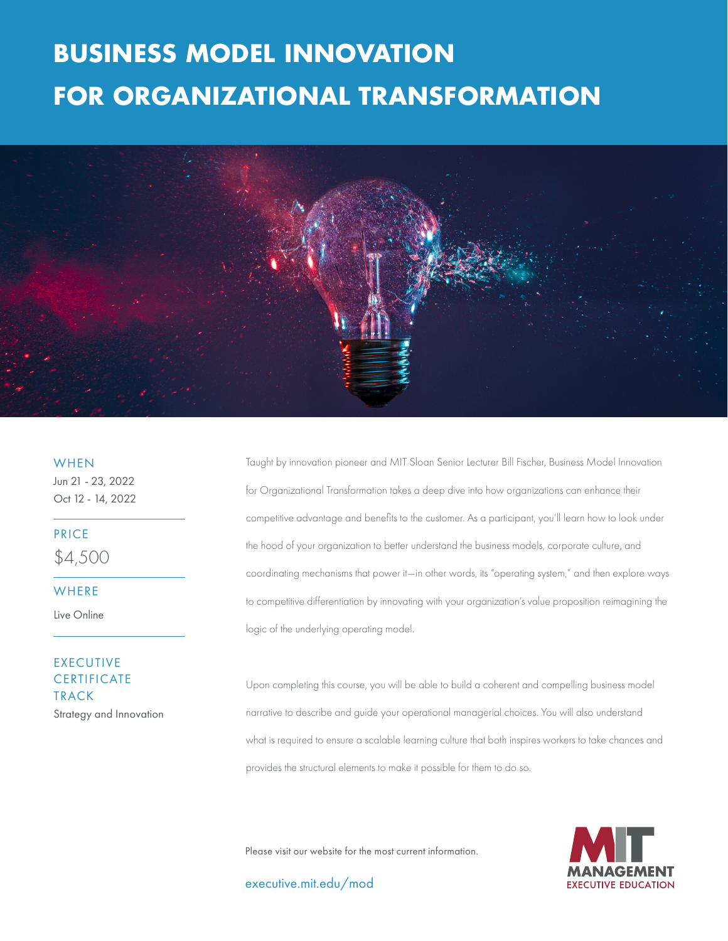# **FOR ORGANIZATIONAL TRANSFORMATION BUSINESS MODEL INNOVATION**



**WHEN** 

Jun 21 - 23, 2022 Oct 12 - 14, 2022

PRICE

\$4,500

**WHERE** 

Live Online

### EXECUTIVE **CERTIFICATE** TRACK Strategy and Innovation

Taught by innovation pioneer and MIT Sloan Senior Lecturer Bill Fischer, Business Model Innovation for Organizational Transformation takes a deep dive into how organizations can enhance their competitive advantage and benefits to the customer. As a participant, you'll learn how to look under the hood of your organization to better understand the business models, corporate culture, and coordinating mechanisms that power it—in other words, its "operating system," and then explore ways to competitive differentiation by innovating with your organization's value proposition reimagining the logic of the underlying operating model.

Upon completing this course, you will be able to build a coherent and compelling business model narrative to describe and guide your operational managerial choices. You will also understand what is required to ensure a scalable learning culture that both inspires workers to take chances and provides the structural elements to make it possible for them to do so.

Please visit our website for the most current information.

executive.mit.edu/mod